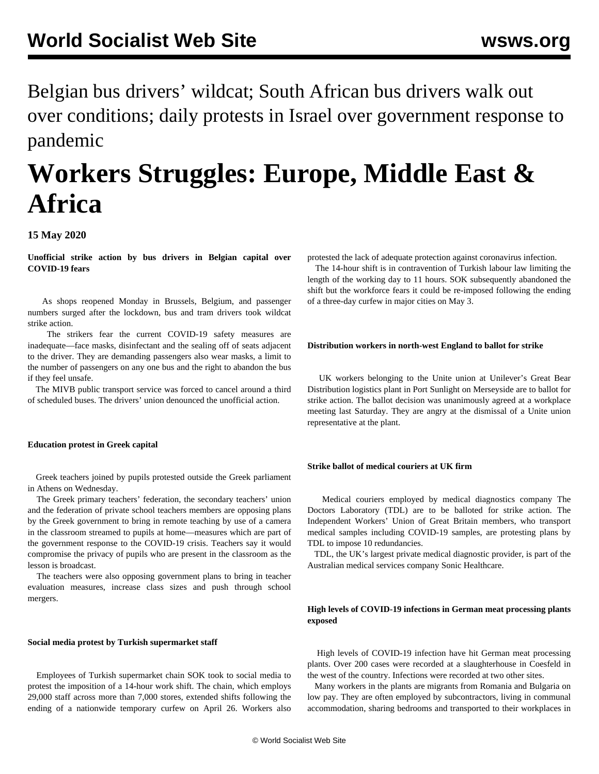Belgian bus drivers' wildcat; South African bus drivers walk out over conditions; daily protests in Israel over government response to pandemic

# **Workers Struggles: Europe, Middle East & Africa**

# **15 May 2020**

**Unofficial strike action by bus drivers in Belgian capital over COVID-19 fears**

 As shops reopened Monday in Brussels, Belgium, and passenger numbers surged after the lockdown, bus and tram drivers took wildcat strike action.

 The strikers fear the current COVID-19 safety measures are inadequate—face masks, disinfectant and the sealing off of seats adjacent to the driver. They are demanding passengers also wear masks, a limit to the number of passengers on any one bus and the right to abandon the bus if they feel unsafe.

 The MIVB public transport service was forced to cancel around a third of scheduled buses. The drivers' union denounced the unofficial action.

## **Education protest in Greek capital**

 Greek teachers joined by pupils protested outside the Greek parliament in Athens on Wednesday.

 The Greek primary teachers' federation, the secondary teachers' union and the federation of private school teachers members are opposing plans by the Greek government to bring in remote teaching by use of a camera in the classroom streamed to pupils at home—measures which are part of the government response to the COVID-19 crisis. Teachers say it would compromise the privacy of pupils who are present in the classroom as the lesson is broadcast.

 The teachers were also opposing government plans to bring in teacher evaluation measures, increase class sizes and push through school mergers.

#### **Social media protest by Turkish supermarket staff**

 Employees of Turkish supermarket chain SOK took to social media to protest the imposition of a 14-hour work shift. The chain, which employs 29,000 staff across more than 7,000 stores, extended shifts following the ending of a nationwide temporary curfew on April 26. Workers also

protested the lack of adequate protection against coronavirus infection.

 The 14-hour shift is in contravention of Turkish labour law limiting the length of the working day to 11 hours. SOK subsequently abandoned the shift but the workforce fears it could be re-imposed following the ending of a three-day curfew in major cities on May 3.

#### **Distribution workers in north-west England to ballot for strike**

 UK workers belonging to the Unite union at Unilever's Great Bear Distribution logistics plant in Port Sunlight on Merseyside are to ballot for strike action. The ballot decision was unanimously agreed at a workplace meeting last Saturday. They are angry at the dismissal of a Unite union representative at the plant.

### **Strike ballot of medical couriers at UK firm**

 Medical couriers employed by medical diagnostics company The Doctors Laboratory (TDL) are to be balloted for strike action. The Independent Workers' Union of Great Britain members, who transport medical samples including COVID-19 samples, are protesting plans by TDL to impose 10 redundancies.

 TDL, the UK's largest private medical diagnostic provider, is part of the Australian medical services company Sonic Healthcare.

# **High levels of COVID-19 infections in German meat processing plants exposed**

 High levels of COVID-19 infection have hit German meat processing plants. Over 200 cases were recorded at a slaughterhouse in Coesfeld in the west of the country. Infections were recorded at two other sites.

 Many workers in the plants are migrants from Romania and Bulgaria on low pay. They are often employed by subcontractors, living in communal accommodation, sharing bedrooms and transported to their workplaces in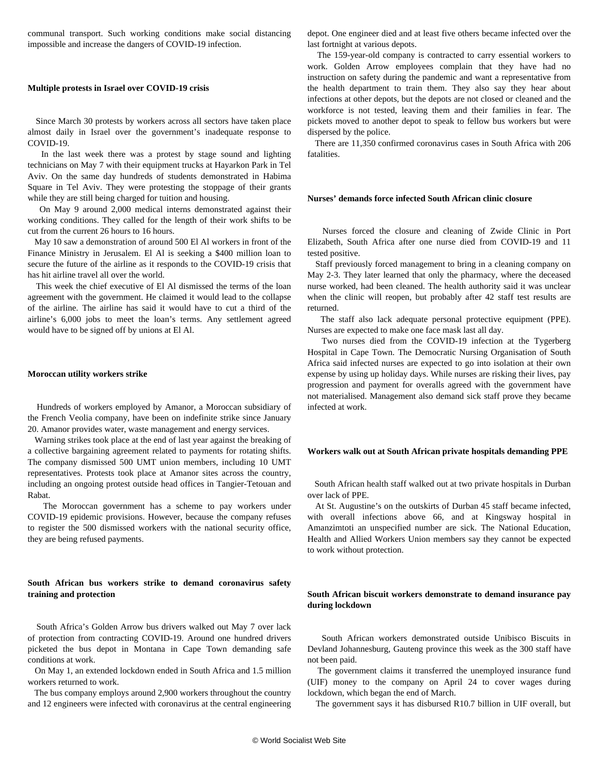communal transport. Such working conditions make social distancing impossible and increase the dangers of COVID-19 infection.

#### **Multiple protests in Israel over COVID-19 crisis**

 Since March 30 protests by workers across all sectors have taken place almost daily in Israel over the government's inadequate response to COVID-19.

 In the last week there was a protest by stage sound and lighting technicians on May 7 with their equipment trucks at Hayarkon Park in Tel Aviv. On the same day hundreds of students demonstrated in Habima Square in Tel Aviv. They were protesting the stoppage of their grants while they are still being charged for tuition and housing.

 On May 9 around 2,000 medical interns demonstrated against their working conditions. They called for the length of their work shifts to be cut from the current 26 hours to 16 hours.

 May 10 saw a demonstration of around 500 El Al workers in front of the Finance Ministry in Jerusalem. El Al is seeking a \$400 million loan to secure the future of the airline as it responds to the COVID-19 crisis that has hit airline travel all over the world.

 This week the chief executive of El Al dismissed the terms of the loan agreement with the government. He claimed it would lead to the collapse of the airline. The airline has said it would have to cut a third of the airline's 6,000 jobs to meet the loan's terms. Any settlement agreed would have to be signed off by unions at El Al.

#### **Moroccan utility workers strike**

 Hundreds of workers employed by Amanor, a Moroccan subsidiary of the French Veolia company, have been on indefinite strike since January 20. Amanor provides water, waste management and energy services.

 Warning strikes took place at the end of last year against the breaking of a collective bargaining agreement related to payments for rotating shifts. The company dismissed 500 UMT union members, including 10 UMT representatives. Protests took place at Amanor sites across the country, including an ongoing protest outside head offices in Tangier-Tetouan and Rabat.

 The Moroccan government has a scheme to pay workers under COVID-19 epidemic provisions. However, because the company refuses to register the 500 dismissed workers with the national security office, they are being refused payments.

## **South African bus workers strike to demand coronavirus safety training and protection**

 South Africa's Golden Arrow bus drivers walked out May 7 over lack of protection from contracting COVID-19. Around one hundred drivers picketed the bus depot in Montana in Cape Town demanding safe conditions at work.

 On May 1, an extended lockdown ended in South Africa and 1.5 million workers returned to work.

 The bus company employs around 2,900 workers throughout the country and 12 engineers were infected with coronavirus at the central engineering depot. One engineer died and at least five others became infected over the last fortnight at various depots.

 The 159-year-old company is contracted to carry essential workers to work. Golden Arrow employees complain that they have had no instruction on safety during the pandemic and want a representative from the health department to train them. They also say they hear about infections at other depots, but the depots are not closed or cleaned and the workforce is not tested, leaving them and their families in fear. The pickets moved to another depot to speak to fellow bus workers but were dispersed by the police.

 There are 11,350 confirmed coronavirus cases in South Africa with 206 fatalities.

## **Nurses' demands force infected South African clinic closure**

 Nurses forced the closure and cleaning of Zwide Clinic in Port Elizabeth, South Africa after one nurse died from COVID-19 and 11 tested positive.

 Staff previously forced management to bring in a cleaning company on May 2-3. They later learned that only the pharmacy, where the deceased nurse worked, had been cleaned. The health authority said it was unclear when the clinic will reopen, but probably after 42 staff test results are returned.

 The staff also lack adequate personal protective equipment (PPE). Nurses are expected to make one face mask last all day.

 Two nurses died from the COVID-19 infection at the Tygerberg Hospital in Cape Town. The Democratic Nursing Organisation of South Africa said infected nurses are expected to go into isolation at their own expense by using up holiday days. While nurses are risking their lives, pay progression and payment for overalls agreed with the government have not materialised. Management also demand sick staff prove they became infected at work.

# **Workers walk out at South African private hospitals demanding PPE**

 South African health staff walked out at two private hospitals in Durban over lack of PPE.

 At St. Augustine's on the outskirts of Durban 45 staff became infected, with overall infections above 66, and at Kingsway hospital in Amanzimtoti an unspecified number are sick. The National Education, Health and Allied Workers Union members say they cannot be expected to work without protection.

# **South African biscuit workers demonstrate to demand insurance pay during lockdown**

 South African workers demonstrated outside Unibisco Biscuits in Devland Johannesburg, Gauteng province this week as the 300 staff have not been paid.

 The government claims it transferred the unemployed insurance fund (UIF) money to the company on April 24 to cover wages during lockdown, which began the end of March.

The government says it has disbursed R10.7 billion in UIF overall, but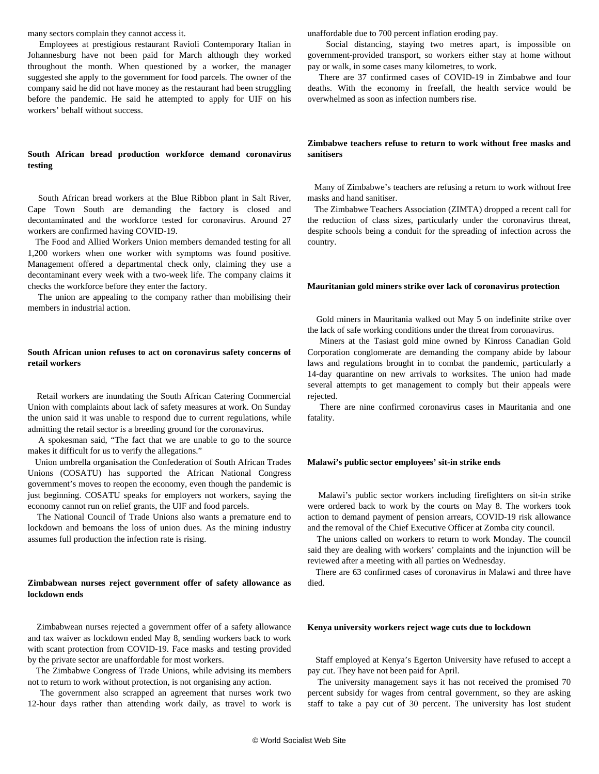many sectors complain they cannot access it.

 Employees at prestigious restaurant Ravioli Contemporary Italian in Johannesburg have not been paid for March although they worked throughout the month. When questioned by a worker, the manager suggested she apply to the government for food parcels. The owner of the company said he did not have money as the restaurant had been struggling before the pandemic. He said he attempted to apply for UIF on his workers' behalf without success.

# **South African bread production workforce demand coronavirus testing**

 South African bread workers at the Blue Ribbon plant in Salt River, Cape Town South are demanding the factory is closed and decontaminated and the workforce tested for coronavirus. Around 27 workers are confirmed having COVID-19.

 The Food and Allied Workers Union members demanded testing for all 1,200 workers when one worker with symptoms was found positive. Management offered a departmental check only, claiming they use a decontaminant every week with a two-week life. The company claims it checks the workforce before they enter the factory.

 The union are appealing to the company rather than mobilising their members in industrial action.

# **South African union refuses to act on coronavirus safety concerns of retail workers**

 Retail workers are inundating the South African Catering Commercial Union with complaints about lack of safety measures at work. On Sunday the union said it was unable to respond due to current regulations, while admitting the retail sector is a breeding ground for the coronavirus.

 A spokesman said, "The fact that we are unable to go to the source makes it difficult for us to verify the allegations."

 Union umbrella organisation the Confederation of South African Trades Unions (COSATU) has supported the African National Congress government's moves to reopen the economy, even though the pandemic is just beginning. COSATU speaks for employers not workers, saying the economy cannot run on relief grants, the UIF and food parcels.

 The National Council of Trade Unions also wants a premature end to lockdown and bemoans the loss of union dues. As the mining industry assumes full production the infection rate is rising.

## **Zimbabwean nurses reject government offer of safety allowance as lockdown ends**

 Zimbabwean nurses rejected a government offer of a safety allowance and tax waiver as lockdown ended May 8, sending workers back to work with scant protection from COVID-19. Face masks and testing provided by the private sector are unaffordable for most workers.

 The Zimbabwe Congress of Trade Unions, while advising its members not to return to work without protection, is not organising any action.

 The government also scrapped an agreement that nurses work two 12-hour days rather than attending work daily, as travel to work is unaffordable due to 700 percent inflation eroding pay.

 Social distancing, staying two metres apart, is impossible on government-provided transport, so workers either stay at home without pay or walk, in some cases many kilometres, to work.

 There are 37 confirmed cases of COVID-19 in Zimbabwe and four deaths. With the economy in freefall, the health service would be overwhelmed as soon as infection numbers rise.

## **Zimbabwe teachers refuse to return to work without free masks and sanitisers**

 Many of Zimbabwe's teachers are refusing a return to work without free masks and hand sanitiser.

 The Zimbabwe Teachers Association (ZIMTA) dropped a recent call for the reduction of class sizes, particularly under the coronavirus threat, despite schools being a conduit for the spreading of infection across the country.

### **Mauritanian gold miners strike over lack of coronavirus protection**

 Gold miners in Mauritania walked out May 5 on indefinite strike over the lack of safe working conditions under the threat from coronavirus.

 Miners at the Tasiast gold mine owned by Kinross Canadian Gold Corporation conglomerate are demanding the company abide by labour laws and regulations brought in to combat the pandemic, particularly a 14-day quarantine on new arrivals to worksites. The union had made several attempts to get management to comply but their appeals were rejected.

 There are nine confirmed coronavirus cases in Mauritania and one fatality.

#### **Malawi's public sector employees' sit-in strike ends**

 Malawi's public sector workers including firefighters on sit-in strike were ordered back to work by the courts on May 8. The workers took action to demand payment of pension arrears, COVID-19 risk allowance and the removal of the Chief Executive Officer at Zomba city council.

 The unions called on workers to return to work Monday. The council said they are dealing with workers' complaints and the injunction will be reviewed after a meeting with all parties on Wednesday.

 There are 63 confirmed cases of coronavirus in Malawi and three have died.

## **Kenya university workers reject wage cuts due to lockdown**

 Staff employed at Kenya's Egerton University have refused to accept a pay cut. They have not been paid for April.

 The university management says it has not received the promised 70 percent subsidy for wages from central government, so they are asking staff to take a pay cut of 30 percent. The university has lost student